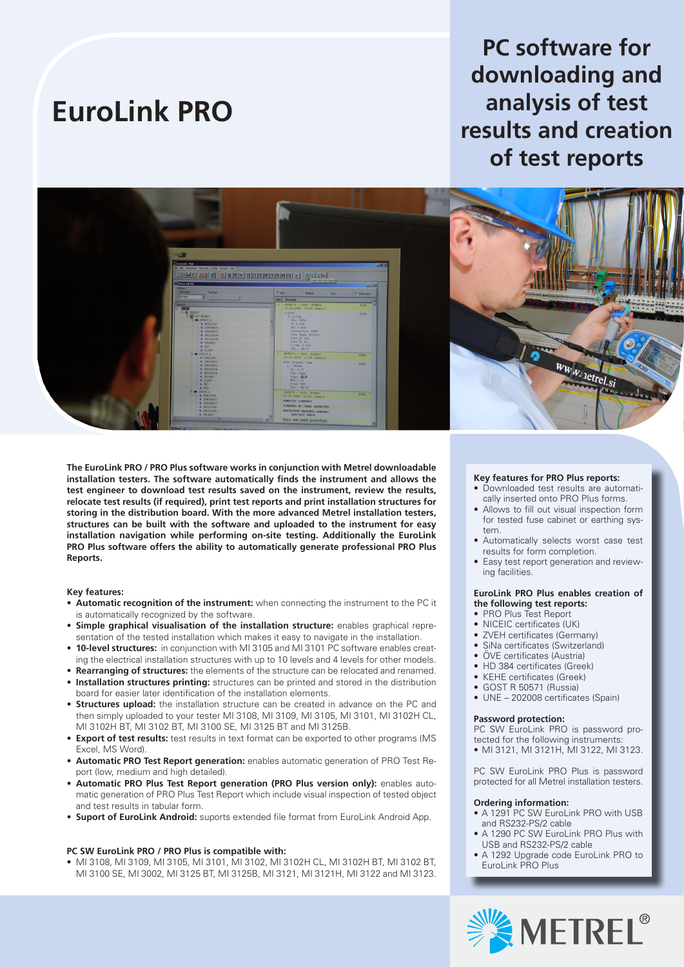# **EuroLink PRO**

# **PC software for downloading and analysis of test results and creation of test reports**



**The EuroLink PRO / PRO Plus software works in conjunction with Metrel downloadable installation testers. The software automatically finds the instrument and allows the test engineer to download test results saved on the instrument, review the results, relocate test results (if required), print test reports and print installation structures for storing in the distribution board. With the more advanced Metrel installation testers, structures can be built with the software and uploaded to the instrument for easy installation navigation while performing on-site testing. Additionally the EuroLink PRO Plus software offers the ability to automatically generate professional PRO Plus Reports.**

#### **Key features:**

- **• Automatic recognition of the instrument:** when connecting the instrument to the PC it is automatically recognized by the software.
- **• Simple graphical visualisation of the installation structure:** enables graphical representation of the tested installation which makes it easy to navigate in the installation.
- **• 10-level structures:** in conjunction with MI 3105 and MI 3101 PC software enables creating the electrical installation structures with up to 10 levels and 4 levels for other models.
- **• Rearranging of structures:** the elements of the structure can be relocated and renamed.
- **• Installation structures printing:** structures can be printed and stored in the distribution board for easier later identification of the installation elements.
- **• Structures upload:** the installation structure can be created in advance on the PC and then simply uploaded to your tester MI 3108, MI 3109, MI 3105, MI 3101, MI 3102H CL, MI 3102H BT, MI 3102 BT, MI 3100 SE, MI 3125 BT and MI 3125B.
- **Export of test results:** test results in text format can be exported to other programs (MS) Excel, MS Word).
- **• Automatic PRO Test Report generation:** enables automatic generation of PRO Test Report (low, medium and high detailed).
- **• Automatic PRO Plus Test Report generation (PRO Plus version only):** enables automatic generation of PRO Plus Test Report which include visual inspection of tested object and test results in tabular form.
- **• Suport of EuroLink Android:** suports extended file format from EuroLink Android App.

#### **PC SW EuroLink PRO / PRO Plus is compatible with:**

• MI 3108, MI 3109, MI 3105, MI 3101, MI 3102, MI 3102H CL, MI 3102H BT, MI 3102 BT, MI 3100 SE, MI 3002, MI 3125 BT, MI 3125B, MI 3121, MI 3121H, MI 3122 and MI 3123.

#### **Key features for PRO Plus reports:**

- Downloaded test results are automatically inserted onto PRO Plus forms.
- Allows to fill out visual inspection form for tested fuse cabinet or earthing system.
- Automatically selects worst case test results for form completion.
- Easy test report generation and reviewing facilities.

### **EuroLink PRO Plus enables creation of the following test reports:**

- PRO Plus Test Report
- NICEIC certificates (UK)
- ZVEH certificates (Germany)
- SiNa certificates (Switzerland)
- ÖVE certificates (Austria)
- HD 384 certificates (Greek)
- KEHE certificates (Greek)
- GOST R 50571 (Russia)
- UNE 202008 certificates (Spain)

#### **Password protection:**

PC SW EuroLink PRO is password protected for the following instruments:

• MI 3121, MI 3121H, MI 3122, MI 3123.

PC SW EuroLink PRO Plus is password protected for all Metrel installation testers.

## **Ordering information:**

- A 1291 PC SW EuroLink PRO with USB and RS232-PS/2 cable
- A 1290 PC SW EuroLink PRO Plus with USB and RS232-PS/2 cable
- A 1292 Upgrade code EuroLink PRO to EuroLink PRO Plus